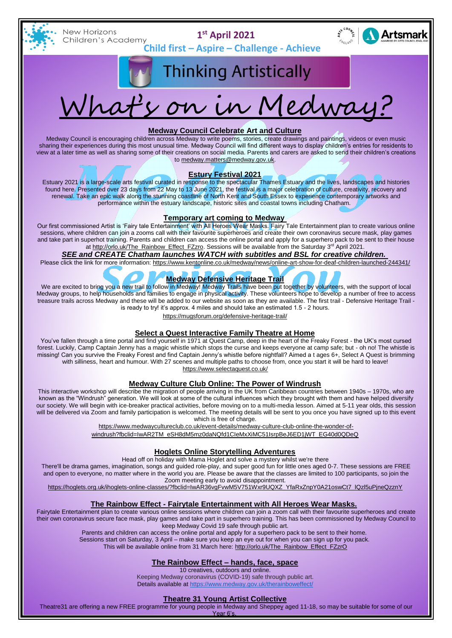

**New Horizons** Children's Academy

**1 st April 2021**



**Child first – Aspire – Challenge - Achieve** 

# **Thinking Artistically**



### **Medway Council Celebrate Art and Culture**

Medway Council is encouraging children across Medway to write poems, stories, create drawings and paintings, videos or even music sharing their experiences during this most unusual time. Medway Council will find different ways to display children's entries for residents to view at a later time as well as sharing some of their creations on social media. Parents and carers are asked to send their children's creations to [medway.matters@medway.gov.uk.](mailto:medway.matters@medway.gov.uk)

# **Estury Festival 2021**

Estuary 2021 is a large-scale arts festival curated in response to the spectacular Thames Estuary and the lives, landscapes and histories found here. Presented over 23 days from 22 May to 13 June 2021, the festival is a major celebration of culture, creativity, recovery and renewal. Take an epic walk along the stunning coastline of North Kent and South Essex to experience contemporary artworks and performance within the estuary landscape, historic sites and coastal towns including Chatham.

#### **Temporary art coming to Medway**

Our first commissioned Artist is 'Fairy tale Entertainment' with All Heroes Wear Masks. Fairy Tale Entertainment plan to create various online sessions, where children can join a zooms call with their favourite superheroes and create their own coronavirus secure mask, play games and take part in superhot training. Parents and children can access the online portal and apply for a superhero pack to be sent to their house at [http://orlo.uk/The\\_Rainbow\\_Effect\\_FZzro.](http://orlo.uk/The_Rainbow_Effect_FZzro) Sessions will be available from the Saturday 3<sup>rd</sup> April 2021.

#### *SEE and CREATE Chatham launches WATCH with subtitles and BSL for creative children.*

Please click the link for more information: <https://www.kentonline.co.uk/medway/news/online-art-show-for-deaf-children-launched-244341/>

## **Medway Defensive Heritage Trail**

We are excited to bring you a new trail to follow in Medway! Medway Trails have been put together by volunteers, with the support of local Medway groups, to help households and families to engage in physical activity. These volunteers hope to develop a number of free to access treasure trails across Medway and these will be added to our website as soon as they are available. The first trail - Defensive Heritage Trail is ready to try! it's approx. 4 miles and should take an estimated 1.5 - 2 hours.

[https://mugsforum.org/defensive-heritage-trail/](https://mugsforum.org/defensive-heritage-trail/?fbclid=IwAR0yvYpw3ijBVdYuCCwJrCrF29OUzOOWd12H38E32ObXx6zSNNo44RmaSBk)

#### **Select a Quest Interactive Family Theatre at Home**

You've fallen through a time portal and find yourself in 1971 at Quest Camp, deep in the heart of the Freaky Forest - the UK's most cursed forest. Luckily, Camp Captain Jenny has a magic whistle which stops the curse and keeps everyone at camp safe; but - oh no! The whistle is missing! Can you survive the Freaky Forest and find Captain Jenny's whistle before nightfall? Aimed a t ages 6+, Select A Quest is brimming with silliness, heart and humour. With 27 scenes and multiple paths to choose from, once you start it will be hard to leave!

<https://www.selectaquest.co.uk/>

#### **Medway Culture Club Online: The Power of Windrush**

This interactive workshop will describe the migration of people arriving in the UK from Caribbean countries between 1940s – 1970s, who are known as the "Windrush" generation. We will look at some of the cultural influences which they brought with them and have helped diversify our society. We will begin with ice-breaker practical activities, before moving on to a multi-media lesson. Aimed at 5-11 year olds, this session will be delivered via Zoom and family participation is welcomed. The meeting details will be sent to you once you have signed up to this event which is free of charge.

[https://www.medwaycultureclub.co.uk/event-details/medway-culture-club-online-the-wonder-of-](https://www.medwaycultureclub.co.uk/event-details/medway-culture-club-online-the-wonder-of-windrush?fbclid=IwAR2TM_eSH8dM5mz0daNQfd1CIeMxXiMC51IsrpBeJ6ED1jWT_EG40d0QDeQ)

[windrush?fbclid=IwAR2TM\\_eSH8dM5mz0daNQfd1CIeMxXiMC51IsrpBeJ6ED1jWT\\_EG40d0QDeQ](https://www.medwaycultureclub.co.uk/event-details/medway-culture-club-online-the-wonder-of-windrush?fbclid=IwAR2TM_eSH8dM5mz0daNQfd1CIeMxXiMC51IsrpBeJ6ED1jWT_EG40d0QDeQ)

#### **Hoglets Online Storytelling Adventures**

Head off on holiday with Mama Hoglet and solve a mystery whilst we're there

There'll be drama games, imagination, songs and guided role-play, and super good fun for little ones aged 0-7. These sessions are FREE and open to everyone, no matter where in the world you are. Please be aware that the classes are limited to 100 participants, so join the Zoom meeting early to avoid disappointment.

[https://hoglets.org.uk/ihoglets-online-classes/?fbclid=IwAR36vgFvwM5V751Wxr9UQXZ\\_YfaRxZnpY0A21oswCt7\\_lQzl5uPjneQzznY](https://hoglets.org.uk/ihoglets-online-classes/?fbclid=IwAR36vgFvwM5V751Wxr9UQXZ_YfaRxZnpY0A21oswCt7_lQzl5uPjneQzznY)

#### **The Rainbow Effect - Fairytale Entertainment with All Heroes Wear Masks.**

Fairytale Entertainment plan to create various online sessions where children can join a zoom call with their favourite superheroes and create their own coronavirus secure face mask, play games and take part in superhero training. This has been commissioned by Medway Council to keep Medway Covid 19 safe through public art.

Parents and children can access the online portal and apply for a superhero pack to be sent to their home.

Sessions start on Saturday, 3 April – make sure you keep an eye out for when you can sign up for you pack.

This will be available online from 31 March here: [http://orlo.uk/The\\_Rainbow\\_Effect\\_FZzrO](https://l.facebook.com/l.php?u=http%3A%2F%2Forlo.uk%2FThe_Rainbow_Effect_FZzrO%3Ffbclid%3DIwAR36vgFvwM5V751Wxr9UQXZ_YfaRxZnpY0A21oswCt7_lQzl5uPjneQzznY&h=AT3uuRkxExmim9XJsOdqWmYmzArdct3KksoJ9XU5MUc7bYhETriVgofgEdAH2_alofkUckpIbp0SbF-CfsK1_ZhlIqWQStVctXwwjzWL4SQZkXN_-eqi4L9h7zcoFDLkwX65MJDDuiPXeqY&__tn__=-UK-R&c%5b0%5d=AT1aP_NrPXVatqMB1OvBmLUIU-lkwx_O1SNrjA0nloqjI7lx5GvjxY1Gu-jZGVfCJlnO_j-KoeB50GncCq3dGAz17VlhJtAK1bpXwn2ntNKxrS-PRs1vP3CX3eX5RvD2SQ4RJC8wAaoqOyUfwrGKwFTelRUpIefsg7tIooIIt-M3OgQQoZlA)

## **The Rainbow Effect – hands, face, space**

10 creatives, outdoors and online.

Keeping Medway coronavirus (COVID-19) safe through public art. Details available at <https://www.medway.gov.uk/therainboweffect/>

#### **Theatre 31 Young Artist Collective**

Theatre31 are offering a new FREE programme for young people in [Medway](https://www.facebook.com/hashtag/medway?__eep__=6&__cft__%5b0%5d=AZXMV6y-1ZVTEegHJAv3_CSCV3dH2ltE3o01J3u31txNIIuvQXQa1hjE8ngfqXb_-zuugikUENFKCgINjqX92uUXI6rrBVL_4TLYRM5K4v5KW7z3Nquus4toEJxpaRUlI0nNk0TgOGmBJqNDK_zts3c0&__tn__=*NK-R) and [Sheppey](https://www.facebook.com/hashtag/sheppey?__eep__=6&__cft__%5b0%5d=AZXMV6y-1ZVTEegHJAv3_CSCV3dH2ltE3o01J3u31txNIIuvQXQa1hjE8ngfqXb_-zuugikUENFKCgINjqX92uUXI6rrBVL_4TLYRM5K4v5KW7z3Nquus4toEJxpaRUlI0nNk0TgOGmBJqNDK_zts3c0&__tn__=*NK-R) aged 11-18, so may be suitable for some of our

Year 6's. Running weekly, this exciting programme will give individuals more opportunities to express their creative freedom than standard performing